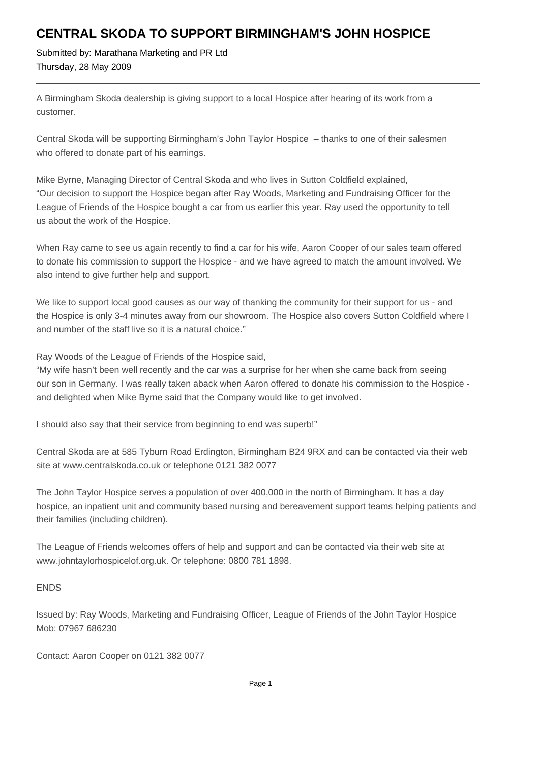## **CENTRAL SKODA TO SUPPORT BIRMINGHAM'S JOHN HOSPICE**

Submitted by: Marathana Marketing and PR Ltd Thursday, 28 May 2009

A Birmingham Skoda dealership is giving support to a local Hospice after hearing of its work from a customer.

Central Skoda will be supporting Birmingham's John Taylor Hospice – thanks to one of their salesmen who offered to donate part of his earnings.

Mike Byrne, Managing Director of Central Skoda and who lives in Sutton Coldfield explained, "Our decision to support the Hospice began after Ray Woods, Marketing and Fundraising Officer for the League of Friends of the Hospice bought a car from us earlier this year. Ray used the opportunity to tell us about the work of the Hospice.

When Ray came to see us again recently to find a car for his wife, Aaron Cooper of our sales team offered to donate his commission to support the Hospice - and we have agreed to match the amount involved. We also intend to give further help and support.

We like to support local good causes as our way of thanking the community for their support for us - and the Hospice is only 3-4 minutes away from our showroom. The Hospice also covers Sutton Coldfield where I and number of the staff live so it is a natural choice."

Ray Woods of the League of Friends of the Hospice said,

"My wife hasn't been well recently and the car was a surprise for her when she came back from seeing our son in Germany. I was really taken aback when Aaron offered to donate his commission to the Hospice and delighted when Mike Byrne said that the Company would like to get involved.

I should also say that their service from beginning to end was superb!"

Central Skoda are at 585 Tyburn Road Erdington, Birmingham B24 9RX and can be contacted via their web site at www.centralskoda.co.uk or telephone 0121 382 0077

The John Taylor Hospice serves a population of over 400,000 in the north of Birmingham. It has a day hospice, an inpatient unit and community based nursing and bereavement support teams helping patients and their families (including children).

The League of Friends welcomes offers of help and support and can be contacted via their web site at www.johntaylorhospicelof.org.uk. Or telephone: 0800 781 1898.

## ENDS

Issued by: Ray Woods, Marketing and Fundraising Officer, League of Friends of the John Taylor Hospice Mob: 07967 686230

Contact: Aaron Cooper on 0121 382 0077